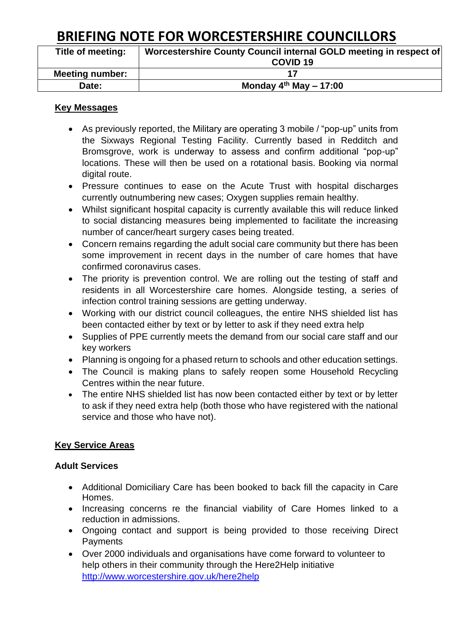## **BRIEFING NOTE FOR WORCESTERSHIRE COUNCILLORS**

| Title of meeting:      | Worcestershire County Council internal GOLD meeting in respect of |
|------------------------|-------------------------------------------------------------------|
|                        |                                                                   |
|                        | COVID <sub>19</sub>                                               |
|                        |                                                                   |
|                        |                                                                   |
| <b>Meeting number:</b> |                                                                   |
|                        |                                                                   |
| Date:                  | Monday $4^{th}$ May - 17:00                                       |
|                        |                                                                   |

#### **Key Messages**

- As previously reported, the Military are operating 3 mobile / "pop-up" units from the Sixways Regional Testing Facility. Currently based in Redditch and Bromsgrove, work is underway to assess and confirm additional "pop-up" locations. These will then be used on a rotational basis. Booking via normal digital route.
- Pressure continues to ease on the Acute Trust with hospital discharges currently outnumbering new cases; Oxygen supplies remain healthy.
- Whilst significant hospital capacity is currently available this will reduce linked to social distancing measures being implemented to facilitate the increasing number of cancer/heart surgery cases being treated.
- Concern remains regarding the adult social care community but there has been some improvement in recent days in the number of care homes that have confirmed coronavirus cases.
- The priority is prevention control. We are rolling out the testing of staff and residents in all Worcestershire care homes. Alongside testing, a series of infection control training sessions are getting underway.
- Working with our district council colleagues, the entire NHS shielded list has been contacted either by text or by letter to ask if they need extra help
- Supplies of PPE currently meets the demand from our social care staff and our key workers
- Planning is ongoing for a phased return to schools and other education settings.
- The Council is making plans to safely reopen some Household Recycling Centres within the near future.
- The entire NHS shielded list has now been contacted either by text or by letter to ask if they need extra help (both those who have registered with the national service and those who have not).

#### **Key Service Areas**

#### **Adult Services**

- Additional Domiciliary Care has been booked to back fill the capacity in Care Homes.
- Increasing concerns re the financial viability of Care Homes linked to a reduction in admissions.
- Ongoing contact and support is being provided to those receiving Direct **Payments**
- Over 2000 individuals and organisations have come forward to volunteer to help others in their community through the Here2Help initiative <http://www.worcestershire.gov.uk/here2help>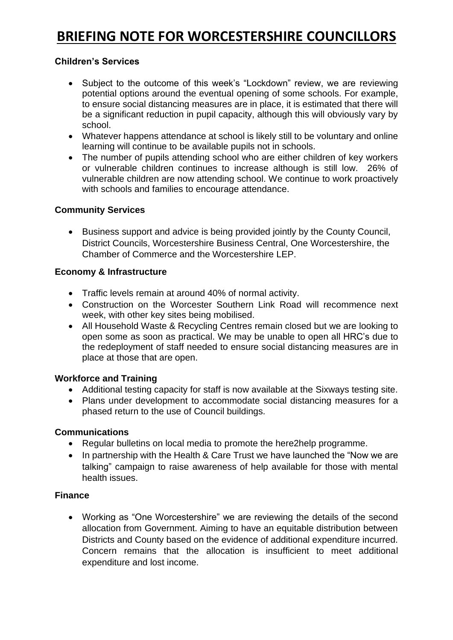# **BRIEFING NOTE FOR WORCESTERSHIRE COUNCILLORS**

#### **Children's Services**

- Subject to the outcome of this week's "Lockdown" review, we are reviewing potential options around the eventual opening of some schools. For example, to ensure social distancing measures are in place, it is estimated that there will be a significant reduction in pupil capacity, although this will obviously vary by school.
- Whatever happens attendance at school is likely still to be voluntary and online learning will continue to be available pupils not in schools.
- The number of pupils attending school who are either children of key workers or vulnerable children continues to increase although is still low. 26% of vulnerable children are now attending school. We continue to work proactively with schools and families to encourage attendance.

#### **Community Services**

• Business support and advice is being provided jointly by the County Council, District Councils, Worcestershire Business Central, One Worcestershire, the Chamber of Commerce and the Worcestershire LEP.

#### **Economy & Infrastructure**

- Traffic levels remain at around 40% of normal activity.
- Construction on the Worcester Southern Link Road will recommence next week, with other key sites being mobilised.
- All Household Waste & Recycling Centres remain closed but we are looking to open some as soon as practical. We may be unable to open all HRC's due to the redeployment of staff needed to ensure social distancing measures are in place at those that are open.

#### **Workforce and Training**

- Additional testing capacity for staff is now available at the Sixways testing site.
- Plans under development to accommodate social distancing measures for a phased return to the use of Council buildings.

#### **Communications**

- Regular bulletins on local media to promote the here2help programme.
- In partnership with the Health & Care Trust we have launched the "Now we are talking" campaign to raise awareness of help available for those with mental health issues.

#### **Finance**

• Working as "One Worcestershire" we are reviewing the details of the second allocation from Government. Aiming to have an equitable distribution between Districts and County based on the evidence of additional expenditure incurred. Concern remains that the allocation is insufficient to meet additional expenditure and lost income.